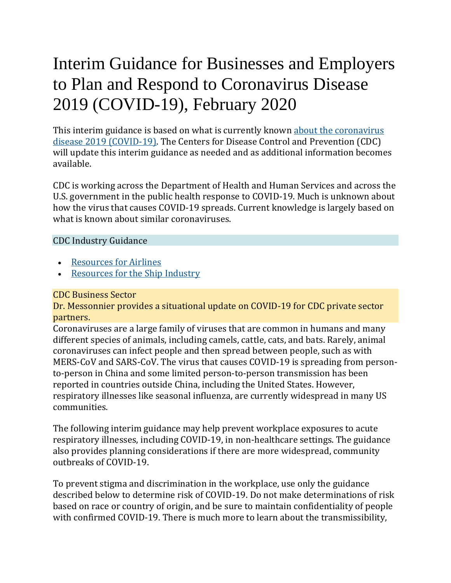# Interim Guidance for Businesses and Employers to Plan and Respond to Coronavirus Disease 2019 (COVID-19), February 2020

This interim guidance is based on what is currently known [about the coronavirus](https://www.cdc.gov/coronavirus/2019-ncov/about/index.html)  [disease 2019 \(COVID-19\).](https://www.cdc.gov/coronavirus/2019-ncov/about/index.html) The Centers for Disease Control and Prevention (CDC) will update this interim guidance as needed and as additional information becomes available.

CDC is working across the Department of Health and Human Services and across the U.S. government in the public health response to COVID-19. Much is unknown about how the virus that causes COVID-19 spreads. Current knowledge is largely based on what is known about similar coronaviruses.

#### CDC Industry Guidance

- [Resources for Airlines](https://www.cdc.gov/quarantine/air/managing-sick-travelers/ncov-airlines.html)
- Resources [for the Ship Industry](https://www.cdc.gov/quarantine/maritime/index.html)

#### CDC Business Sector

Dr. Messonnier provides a situational update on COVID-19 for CDC private sector partners.

Coronaviruses are a large family of viruses that are common in humans and many different species of animals, including camels, cattle, cats, and bats. Rarely, animal coronaviruses can infect people and then spread between people, such as with MERS-CoV and SARS-CoV. The virus that causes COVID-19 is spreading from personto-person in China and some limited person-to-person transmission has been reported in countries outside China, including the United States. However, respiratory illnesses like seasonal influenza, are currently widespread in many US communities.

The following interim guidance may help prevent workplace exposures to acute respiratory illnesses, including COVID-19, in non-healthcare settings. The guidance also provides planning considerations if there are more widespread, community outbreaks of COVID-19.

To prevent stigma and discrimination in the workplace, use only the guidance described below to determine risk of COVID-19. Do not make determinations of risk based on race or country of origin, and be sure to maintain confidentiality of people with confirmed COVID-19. There is much more to learn about the transmissibility,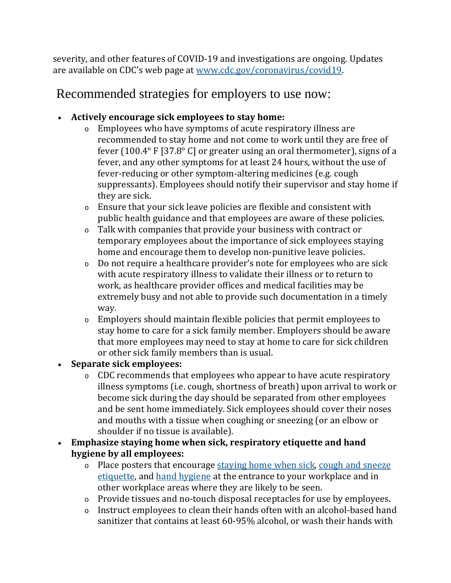severity, and other features of COVID-19 and investigations are ongoing. Updates are available on CDC's web page at [www.cdc.gov/coronavirus/covid19.](https://www.cdc.gov/coronavirus/2019-ncov/index.html)

### Recommended strategies for employers to use now:

### • **Actively encourage sick employees to stay home:**

- o Employees who have symptoms of acute respiratory illness are recommended to stay home and not come to work until they are free of fever (100.4° F [37.8° C] or greater using an oral thermometer), signs of a fever, and any other symptoms for at least 24 hours, without the use of fever-reducing or other symptom-altering medicines (e.g. cough suppressants). Employees should notify their supervisor and stay home if they are sick.
- o Ensure that your sick leave policies are flexible and consistent with public health guidance and that employees are aware of these policies.
- o Talk with companies that provide your business with contract or temporary employees about the importance of sick employees staying home and encourage them to develop non-punitive leave policies.
- o Do not require a healthcare provider's note for employees who are sick with acute respiratory illness to validate their illness or to return to work, as healthcare provider offices and medical facilities may be extremely busy and not able to provide such documentation in a timely way.
- o Employers should maintain flexible policies that permit employees to stay home to care for a sick family member. Employers should be aware that more employees may need to stay at home to care for sick children or other sick family members than is usual.

#### • **Separate sick employees:**

- o CDC recommends that employees who appear to have acute respiratory illness symptoms (i.e. cough, shortness of breath) upon arrival to work or become sick during the day should be separated from other employees and be sent home immediately. Sick employees should cover their noses and mouths with a tissue when coughing or sneezing (or an elbow or shoulder if no tissue is available).
- **Emphasize staying home when sick, respiratory etiquette and hand hygiene by all employees:** 
	- o Place posters that encourage [staying home when sick,](https://www.cdc.gov/nonpharmaceutical-interventions/tools-resources/educational-materials.html) [cough and sneeze](https://www.cdc.gov/healthywater/hygiene/etiquette/coughing_sneezing.html)  [etiquette,](https://www.cdc.gov/healthywater/hygiene/etiquette/coughing_sneezing.html) and [hand hygiene](https://www.cdc.gov/handwashing/materials.html) at the entrance to your workplace and in other workplace areas where they are likely to be seen.
	- o Provide tissues and no-touch disposal receptacles for use by employees.
	- o Instruct employees to clean their hands often with an alcohol-based hand sanitizer that contains at least 60-95% alcohol, or wash their hands with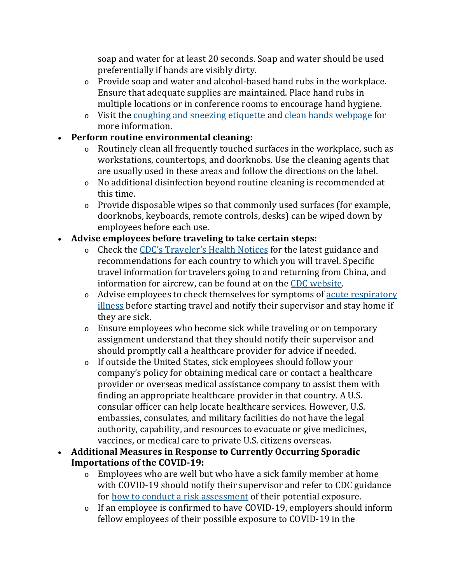soap and water for at least 20 seconds. Soap and water should be used preferentially if hands are visibly dirty.

- o Provide soap and water and alcohol-based hand rubs in the workplace. Ensure that adequate supplies are maintained. Place hand rubs in multiple locations or in conference rooms to encourage hand hygiene.
- o Visit the [coughing and sneezing etiquette a](http://www.cdc.gov/healthywater/hygiene/etiquette/coughing_sneezing.html)nd [clean hands webpage](https://www.cdc.gov/handwashing/index.html) for more information.
- **Perform routine environmental cleaning:**
	- o Routinely clean all frequently touched surfaces in the workplace, such as workstations, countertops, and doorknobs. Use the cleaning agents that are usually used in these areas and follow the directions on the label.
	- o No additional disinfection beyond routine cleaning is recommended at this time.
	- o Provide disposable wipes so that commonly used surfaces (for example, doorknobs, keyboards, remote controls, desks) can be wiped down by employees before each use.
- **Advise employees before traveling to take certain steps:**
	- o Check the [CDC's Traveler's Health Notices](http://www.cdc.gov/travel) for the latest guidance and recommendations for each country to which you will travel. Specific travel information for travelers going to and returning from China, and information for aircrew, can be found at on th[e CDC website.](https://www.cdc.gov/coronavirus/2019-ncov/travelers/index.html)
	- o Advise employees to check themselves for symptoms of [acute respiratory](https://www.cdc.gov/coronavirus/2019-ncov/about/symptoms.html)  [illness](https://www.cdc.gov/coronavirus/2019-ncov/about/symptoms.html) before starting travel and notify their supervisor and stay home if they are sick.
	- o Ensure employees who become sick while traveling or on temporary assignment understand that they should notify their supervisor and should promptly call a healthcare provider for advice if needed.
	- o If outside the United States, sick employees should follow your company's policy for obtaining medical care or contact a healthcare provider or overseas medical assistance company to assist them with finding an appropriate healthcare provider in that country. A U.S. consular officer can help locate healthcare services. However, U.S. embassies, consulates, and military facilities do not have the legal authority, capability, and resources to evacuate or give medicines, vaccines, or medical care to private U.S. citizens overseas.
- **Additional Measures in Response to Currently Occurring Sporadic Importations of the COVID-19:**
	- o Employees who are well but who have a sick family member at home with COVID-19 should notify their supervisor and refer to CDC guidance for [how to conduct a risk assessment](https://www.cdc.gov/coronavirus/2019-ncov/php/risk-assessment.html) of their potential exposure.
	- o If an employee is confirmed to have COVID-19, employers should inform fellow employees of their possible exposure to COVID-19 in the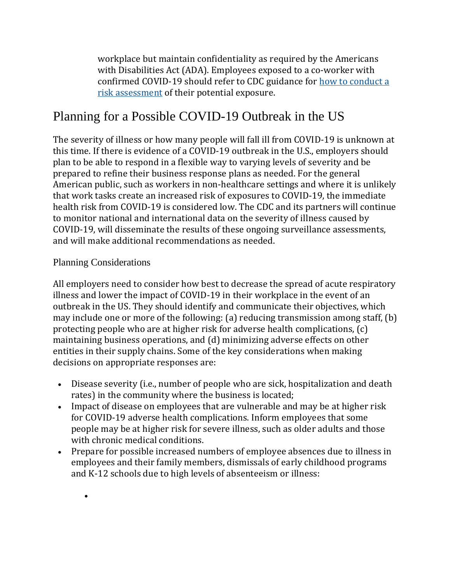workplace but maintain confidentiality as required by the Americans with Disabilities Act (ADA). Employees exposed to a co-worker with confirmed COVID-19 should refer to CDC guidance for [how to conduct a](https://www.cdc.gov/coronavirus/2019-ncov/php/risk-assessment.html)  [risk assessment](https://www.cdc.gov/coronavirus/2019-ncov/php/risk-assessment.html) of their potential exposure.

# Planning for a Possible COVID-19 Outbreak in the US

The severity of illness or how many people will fall ill from COVID-19 is unknown at this time. If there is evidence of a COVID-19 outbreak in the U.S., employers should plan to be able to respond in a flexible way to varying levels of severity and be prepared to refine their business response plans as needed. For the general American public, such as workers in non-healthcare settings and where it is unlikely that work tasks create an increased risk of exposures to COVID-19, the immediate health risk from COVID-19 is considered low. The CDC and its partners will continue to monitor national and international data on the severity of illness caused by COVID-19, will disseminate the results of these ongoing surveillance assessments, and will make additional recommendations as needed.

#### Planning Considerations

•

All employers need to consider how best to decrease the spread of acute respiratory illness and lower the impact of COVID-19 in their workplace in the event of an outbreak in the US. They should identify and communicate their objectives, which may include one or more of the following: (a) reducing transmission among staff, (b) protecting people who are at higher risk for adverse health complications, (c) maintaining business operations, and (d) minimizing adverse effects on other entities in their supply chains. Some of the key considerations when making decisions on appropriate responses are:

- Disease severity (i.e., number of people who are sick, hospitalization and death rates) in the community where the business is located;
- Impact of disease on employees that are vulnerable and may be at higher risk for COVID-19 adverse health complications. Inform employees that some people may be at higher risk for severe illness, such as older adults and those with chronic medical conditions.
- Prepare for possible increased numbers of employee absences due to illness in employees and their family members, dismissals of early childhood programs and K-12 schools due to high levels of absenteeism or illness: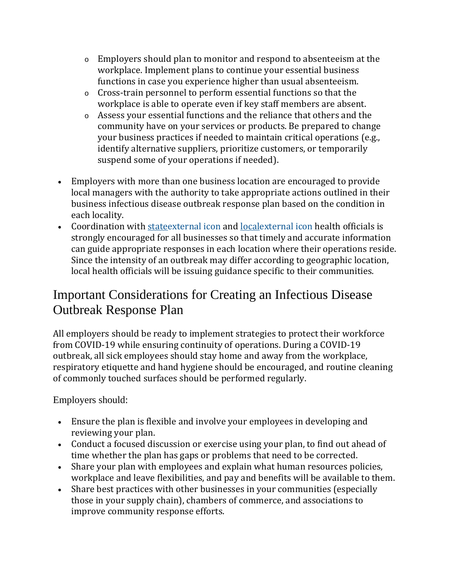- o Employers should plan to monitor and respond to absenteeism at the workplace. Implement plans to continue your essential business functions in case you experience higher than usual absenteeism.
- o Cross-train personnel to perform essential functions so that the workplace is able to operate even if key staff members are absent.
- o Assess your essential functions and the reliance that others and the community have on your services or products. Be prepared to change your business practices if needed to maintain critical operations (e.g., identify alternative suppliers, prioritize customers, or temporarily suspend some of your operations if needed).
- Employers with more than one business location are encouraged to provide local managers with the authority to take appropriate actions outlined in their business infectious disease outbreak response plan based on the condition in each locality.
- Coordination with [stateexternal](https://www.cste.org/page/EpiOnCall) icon and [localexternal](https://www.naccho.org/membership/lhd-directory) icon health officials is strongly encouraged for all businesses so that timely and accurate information can guide appropriate responses in each location where their operations reside. Since the intensity of an outbreak may differ according to geographic location, local health officials will be issuing guidance specific to their communities.

# Important Considerations for Creating an Infectious Disease Outbreak Response Plan

All employers should be ready to implement strategies to protect their workforce from COVID-19 while ensuring continuity of operations. During a COVID-19 outbreak, all sick employees should stay home and away from the workplace, respiratory etiquette and hand hygiene should be encouraged, and routine cleaning of commonly touched surfaces should be performed regularly.

Employers should:

- Ensure the plan is flexible and involve your employees in developing and reviewing your plan.
- Conduct a focused discussion or exercise using your plan, to find out ahead of time whether the plan has gaps or problems that need to be corrected.
- Share your plan with employees and explain what human resources policies, workplace and leave flexibilities, and pay and benefits will be available to them.
- Share best practices with other businesses in your communities (especially those in your supply chain), chambers of commerce, and associations to improve community response efforts.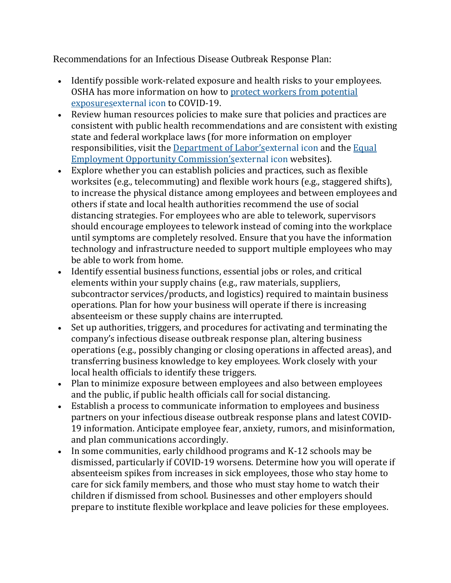Recommendations for an Infectious Disease Outbreak Response Plan:

- Identify possible work-related exposure and health risks to your employees. OSHA has more information on how to [protect workers from potential](https://www.osha.gov/SLTC/novel_coronavirus/index.html)  [exposuresexternal](https://www.osha.gov/SLTC/novel_coronavirus/index.html) icon to COVID-19.
- Review human resources policies to make sure that policies and practices are consistent with public health recommendations and are consistent with existing state and federal workplace laws (for more information on employer responsibilities, visit the [Department of Labor'sexternal](http://www.dol.gov/) icon and the [Equal](http://www.eeoc.gov/)  [Employment Opportunity Commission'sexternal](http://www.eeoc.gov/) icon websites).
- Explore whether you can establish policies and practices, such as flexible worksites (e.g., telecommuting) and flexible work hours (e.g., staggered shifts), to increase the physical distance among employees and between employees and others if state and local health authorities recommend the use of social distancing strategies. For employees who are able to telework, supervisors should encourage employees to telework instead of coming into the workplace until symptoms are completely resolved. Ensure that you have the information technology and infrastructure needed to support multiple employees who may be able to work from home.
- Identify essential business functions, essential jobs or roles, and critical elements within your supply chains (e.g., raw materials, suppliers, subcontractor services/products, and logistics) required to maintain business operations. Plan for how your business will operate if there is increasing absenteeism or these supply chains are interrupted.
- Set up authorities, triggers, and procedures for activating and terminating the company's infectious disease outbreak response plan, altering business operations (e.g., possibly changing or closing operations in affected areas), and transferring business knowledge to key employees. Work closely with your local health officials to identify these triggers.
- Plan to minimize exposure between employees and also between employees and the public, if public health officials call for social distancing.
- Establish a process to communicate information to employees and business partners on your infectious disease outbreak response plans and latest COVID-19 information. Anticipate employee fear, anxiety, rumors, and misinformation, and plan communications accordingly.
- In some communities, early childhood programs and K-12 schools may be dismissed, particularly if COVID-19 worsens. Determine how you will operate if absenteeism spikes from increases in sick employees, those who stay home to care for sick family members, and those who must stay home to watch their children if dismissed from school. Businesses and other employers should prepare to institute flexible workplace and leave policies for these employees.